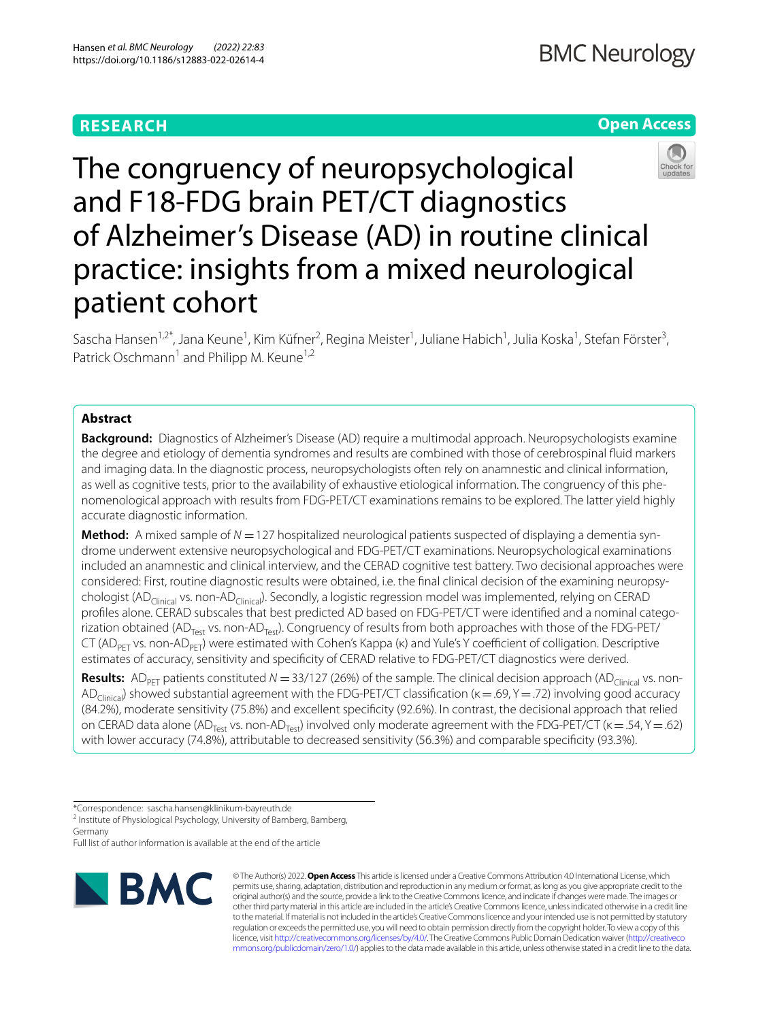# **RESEARCH**

# **Open Access**



The congruency of neuropsychological and F18-FDG brain PET/CT diagnostics of Alzheimer's Disease (AD) in routine clinical practice: insights from a mixed neurological patient cohort

Sascha Hansen<sup>1,2\*</sup>, Jana Keune<sup>1</sup>, Kim Küfner<sup>2</sup>, Regina Meister<sup>1</sup>, Juliane Habich<sup>1</sup>, Julia Koska<sup>1</sup>, Stefan Förster<sup>3</sup>, Patrick Oschmann<sup>1</sup> and Philipp M. Keune<sup>1,2</sup>

# **Abstract**

**Background:** Diagnostics of Alzheimer's Disease (AD) require a multimodal approach. Neuropsychologists examine the degree and etiology of dementia syndromes and results are combined with those of cerebrospinal fuid markers and imaging data. In the diagnostic process, neuropsychologists often rely on anamnestic and clinical information, as well as cognitive tests, prior to the availability of exhaustive etiological information. The congruency of this phenomenological approach with results from FDG-PET/CT examinations remains to be explored. The latter yield highly accurate diagnostic information.

**Method:** A mixed sample of *N* =127 hospitalized neurological patients suspected of displaying a dementia syndrome underwent extensive neuropsychological and FDG-PET/CT examinations. Neuropsychological examinations included an anamnestic and clinical interview, and the CERAD cognitive test battery. Two decisional approaches were considered: First, routine diagnostic results were obtained, i.e. the fnal clinical decision of the examining neuropsychologist (AD<sub>Clinical</sub> vs. non-AD<sub>Clinical</sub>). Secondly, a logistic regression model was implemented, relying on CERAD profles alone. CERAD subscales that best predicted AD based on FDG-PET/CT were identifed and a nominal categorization obtained (AD<sub>Test</sub> vs. non-AD<sub>Test</sub>). Congruency of results from both approaches with those of the FDG-PET/ CT (AD<sub>PFT</sub> vs. non-AD<sub>PFT</sub>) were estimated with Cohen's Kappa (κ) and Yule's Y coefficient of colligation. Descriptive estimates of accuracy, sensitivity and specifcity of CERAD relative to FDG-PET/CT diagnostics were derived.

**Results:** AD<sub>PET</sub> patients constituted  $N = 33/127$  (26%) of the sample. The clinical decision approach (AD<sub>Clinical</sub> vs. non-AD<sub>Clinica</sub>) showed substantial agreement with the FDG-PET/CT classification (κ = .69, Y = .72) involving good accuracy (84.2%), moderate sensitivity (75.8%) and excellent specifcity (92.6%). In contrast, the decisional approach that relied on CERAD data alone (AD<sub>Test</sub> vs. non-AD<sub>Test</sub>) involved only moderate agreement with the FDG-PET/CT ( $\kappa = .54$ , Y = .62) with lower accuracy (74.8%), attributable to decreased sensitivity (56.3%) and comparable specifcity (93.3%).

<sup>2</sup> Institute of Physiological Psychology, University of Bamberg, Bamberg, Germany

Full list of author information is available at the end of the article



© The Author(s) 2022. **Open Access** This article is licensed under a Creative Commons Attribution 4.0 International License, which permits use, sharing, adaptation, distribution and reproduction in any medium or format, as long as you give appropriate credit to the original author(s) and the source, provide a link to the Creative Commons licence, and indicate if changes were made. The images or other third party material in this article are included in the article's Creative Commons licence, unless indicated otherwise in a credit line to the material. If material is not included in the article's Creative Commons licence and your intended use is not permitted by statutory regulation or exceeds the permitted use, you will need to obtain permission directly from the copyright holder. To view a copy of this licence, visit [http://creativecommons.org/licenses/by/4.0/.](http://creativecommons.org/licenses/by/4.0/) The Creative Commons Public Domain Dedication waiver ([http://creativeco](http://creativecommons.org/publicdomain/zero/1.0/) [mmons.org/publicdomain/zero/1.0/](http://creativecommons.org/publicdomain/zero/1.0/)) applies to the data made available in this article, unless otherwise stated in a credit line to the data.

<sup>\*</sup>Correspondence: sascha.hansen@klinikum-bayreuth.de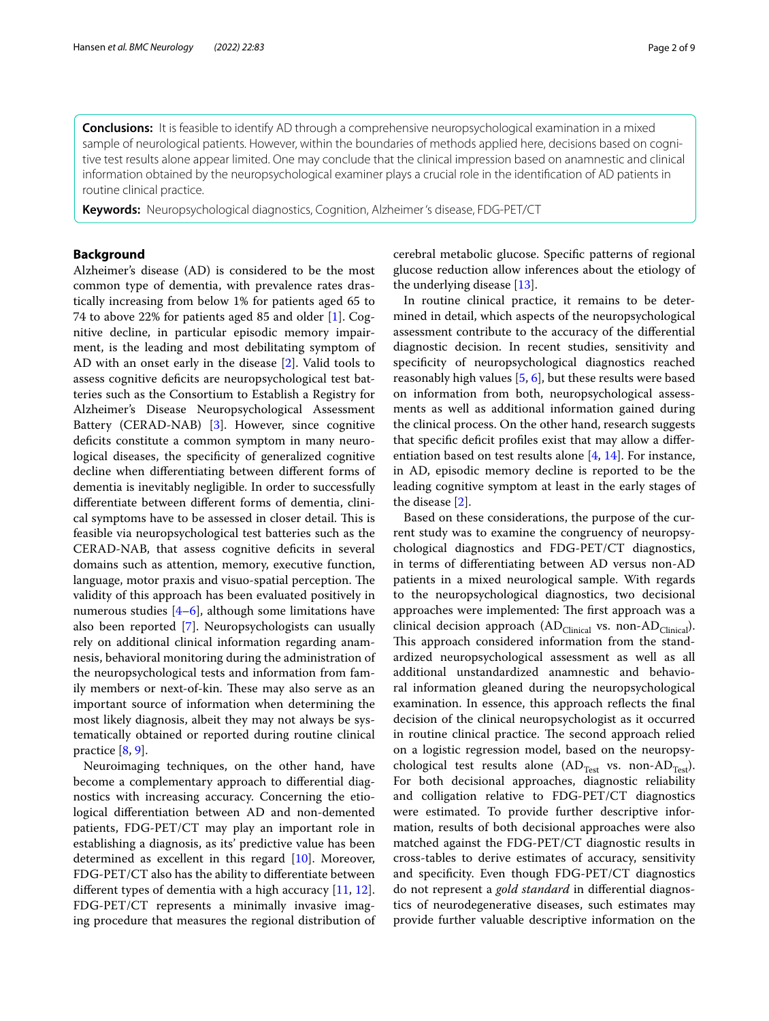**Conclusions:** It is feasible to identify AD through a comprehensive neuropsychological examination in a mixed sample of neurological patients. However, within the boundaries of methods applied here, decisions based on cognitive test results alone appear limited. One may conclude that the clinical impression based on anamnestic and clinical information obtained by the neuropsychological examiner plays a crucial role in the identifcation of AD patients in routine clinical practice.

**Keywords:** Neuropsychological diagnostics, Cognition, Alzheimer 's disease, FDG-PET/CT

# **Background**

Alzheimer's disease (AD) is considered to be the most common type of dementia, with prevalence rates drastically increasing from below 1% for patients aged 65 to 74 to above 22% for patients aged 85 and older [\[1](#page-8-0)]. Cognitive decline, in particular episodic memory impairment, is the leading and most debilitating symptom of AD with an onset early in the disease [[2\]](#page-8-1). Valid tools to assess cognitive deficits are neuropsychological test batteries such as the Consortium to Establish a Registry for Alzheimer's Disease Neuropsychological Assessment Battery (CERAD-NAB) [\[3](#page-8-2)]. However, since cognitive deficits constitute a common symptom in many neurological diseases, the specificity of generalized cognitive decline when diferentiating between diferent forms of dementia is inevitably negligible. In order to successfully diferentiate between diferent forms of dementia, clinical symptoms have to be assessed in closer detail. This is feasible via neuropsychological test batteries such as the CERAD-NAB, that assess cognitive defcits in several domains such as attention, memory, executive function, language, motor praxis and visuo-spatial perception. The validity of this approach has been evaluated positively in numerous studies  $[4-6]$  $[4-6]$  $[4-6]$ , although some limitations have also been reported [[7\]](#page-8-5). Neuropsychologists can usually rely on additional clinical information regarding anamnesis, behavioral monitoring during the administration of the neuropsychological tests and information from family members or next-of-kin. These may also serve as an important source of information when determining the most likely diagnosis, albeit they may not always be systematically obtained or reported during routine clinical practice [[8,](#page-8-6) [9](#page-8-7)].

Neuroimaging techniques, on the other hand, have become a complementary approach to diferential diagnostics with increasing accuracy. Concerning the etiological diferentiation between AD and non-demented patients, FDG-PET/CT may play an important role in establishing a diagnosis, as its' predictive value has been determined as excellent in this regard [[10\]](#page-8-8). Moreover, FDG-PET/CT also has the ability to diferentiate between diferent types of dementia with a high accuracy [[11](#page-8-9), [12](#page-8-10)]. FDG-PET/CT represents a minimally invasive imaging procedure that measures the regional distribution of cerebral metabolic glucose. Specifc patterns of regional glucose reduction allow inferences about the etiology of the underlying disease [\[13](#page-8-11)].

In routine clinical practice, it remains to be determined in detail, which aspects of the neuropsychological assessment contribute to the accuracy of the diferential diagnostic decision. In recent studies, sensitivity and specifcity of neuropsychological diagnostics reached reasonably high values [\[5](#page-8-12), [6](#page-8-4)], but these results were based on information from both, neuropsychological assessments as well as additional information gained during the clinical process. On the other hand, research suggests that specifc defcit profles exist that may allow a diferentiation based on test results alone  $[4, 14]$  $[4, 14]$  $[4, 14]$ . For instance, in AD, episodic memory decline is reported to be the leading cognitive symptom at least in the early stages of the disease [[2\]](#page-8-1).

Based on these considerations, the purpose of the current study was to examine the congruency of neuropsychological diagnostics and FDG-PET/CT diagnostics, in terms of diferentiating between AD versus non-AD patients in a mixed neurological sample. With regards to the neuropsychological diagnostics, two decisional approaches were implemented: The first approach was a clinical decision approach (AD<sub>Clinical</sub> vs. non-AD<sub>Clinical</sub>). This approach considered information from the standardized neuropsychological assessment as well as all additional unstandardized anamnestic and behavioral information gleaned during the neuropsychological examination. In essence, this approach refects the fnal decision of the clinical neuropsychologist as it occurred in routine clinical practice. The second approach relied on a logistic regression model, based on the neuropsychological test results alone (AD<sub>Test</sub> vs. non-AD<sub>Test</sub>). For both decisional approaches, diagnostic reliability and colligation relative to FDG-PET/CT diagnostics were estimated. To provide further descriptive information, results of both decisional approaches were also matched against the FDG-PET/CT diagnostic results in cross-tables to derive estimates of accuracy, sensitivity and specifcity. Even though FDG-PET/CT diagnostics do not represent a *gold standard* in diferential diagnostics of neurodegenerative diseases, such estimates may provide further valuable descriptive information on the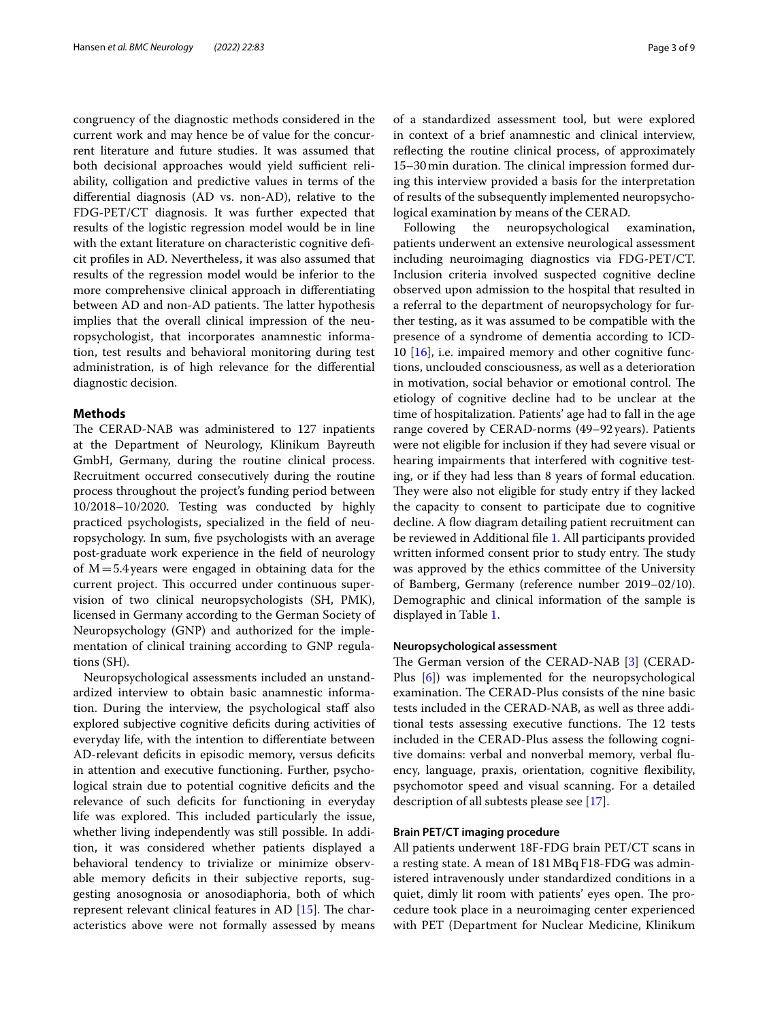congruency of the diagnostic methods considered in the current work and may hence be of value for the concurrent literature and future studies. It was assumed that both decisional approaches would yield sufficient reliability, colligation and predictive values in terms of the diferential diagnosis (AD vs. non-AD), relative to the FDG-PET/CT diagnosis. It was further expected that results of the logistic regression model would be in line with the extant literature on characteristic cognitive deficit profles in AD. Nevertheless, it was also assumed that results of the regression model would be inferior to the more comprehensive clinical approach in diferentiating between AD and non-AD patients. The latter hypothesis implies that the overall clinical impression of the neuropsychologist, that incorporates anamnestic information, test results and behavioral monitoring during test administration, is of high relevance for the diferential diagnostic decision.

# **Methods**

The CERAD-NAB was administered to 127 inpatients at the Department of Neurology, Klinikum Bayreuth GmbH, Germany, during the routine clinical process. Recruitment occurred consecutively during the routine process throughout the project's funding period between 10/2018–10/2020. Testing was conducted by highly practiced psychologists, specialized in the feld of neuropsychology. In sum, fve psychologists with an average post-graduate work experience in the feld of neurology of  $M=5.4$  years were engaged in obtaining data for the current project. This occurred under continuous supervision of two clinical neuropsychologists (SH, PMK), licensed in Germany according to the German Society of Neuropsychology (GNP) and authorized for the implementation of clinical training according to GNP regulations (SH).

Neuropsychological assessments included an unstandardized interview to obtain basic anamnestic information. During the interview, the psychological staf also explored subjective cognitive defcits during activities of everyday life, with the intention to diferentiate between AD-relevant deficits in episodic memory, versus deficits in attention and executive functioning. Further, psychological strain due to potential cognitive deficits and the relevance of such defcits for functioning in everyday life was explored. This included particularly the issue, whether living independently was still possible. In addition, it was considered whether patients displayed a behavioral tendency to trivialize or minimize observable memory deficits in their subjective reports, suggesting anosognosia or anosodiaphoria, both of which represent relevant clinical features in AD  $[15]$  $[15]$ . The characteristics above were not formally assessed by means of a standardized assessment tool, but were explored in context of a brief anamnestic and clinical interview, refecting the routine clinical process, of approximately 15–30 min duration. The clinical impression formed during this interview provided a basis for the interpretation of results of the subsequently implemented neuropsychological examination by means of the CERAD.

Following the neuropsychological examination, patients underwent an extensive neurological assessment including neuroimaging diagnostics via FDG-PET/CT. Inclusion criteria involved suspected cognitive decline observed upon admission to the hospital that resulted in a referral to the department of neuropsychology for further testing, as it was assumed to be compatible with the presence of a syndrome of dementia according to ICD-10 [\[16\]](#page-8-15), i.e. impaired memory and other cognitive functions, unclouded consciousness, as well as a deterioration in motivation, social behavior or emotional control. The etiology of cognitive decline had to be unclear at the time of hospitalization. Patients' age had to fall in the age range covered by CERAD-norms (49–92years). Patients were not eligible for inclusion if they had severe visual or hearing impairments that interfered with cognitive testing, or if they had less than 8 years of formal education. They were also not eligible for study entry if they lacked the capacity to consent to participate due to cognitive decline. A flow diagram detailing patient recruitment can be reviewed in Additional fle [1.](#page-7-0) All participants provided written informed consent prior to study entry. The study was approved by the ethics committee of the University of Bamberg, Germany (reference number 2019–02/10). Demographic and clinical information of the sample is displayed in Table [1](#page-3-0).

## **Neuropsychological assessment**

The German version of the CERAD-NAB [[3\]](#page-8-2) (CERAD-Plus [[6\]](#page-8-4)) was implemented for the neuropsychological examination. The CERAD-Plus consists of the nine basic tests included in the CERAD-NAB, as well as three additional tests assessing executive functions. The 12 tests included in the CERAD-Plus assess the following cognitive domains: verbal and nonverbal memory, verbal fuency, language, praxis, orientation, cognitive fexibility, psychomotor speed and visual scanning. For a detailed description of all subtests please see [[17\]](#page-8-16).

# **Brain PET/CT imaging procedure**

All patients underwent 18F-FDG brain PET/CT scans in a resting state. A mean of 181MBqF18-FDG was administered intravenously under standardized conditions in a quiet, dimly lit room with patients' eyes open. The procedure took place in a neuroimaging center experienced with PET (Department for Nuclear Medicine, Klinikum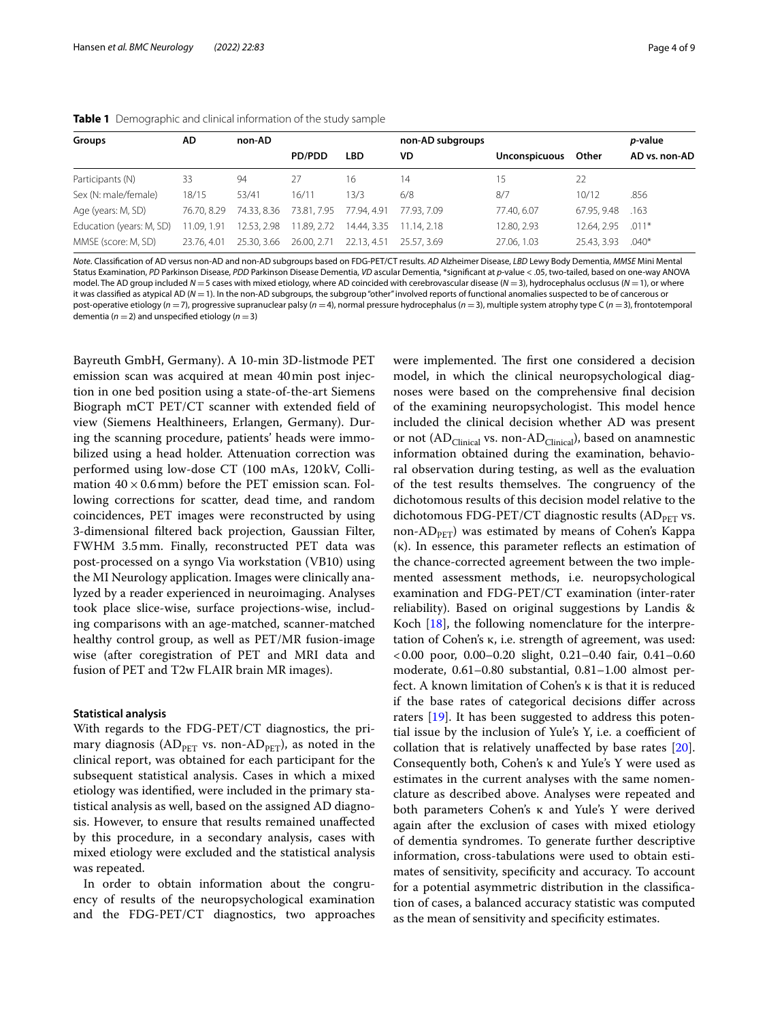<span id="page-3-0"></span>

| AD<br><b>Groups</b>      |             | non-AD      |               |            | non-AD subgroups      |                      |             | <i>p</i> -value |
|--------------------------|-------------|-------------|---------------|------------|-----------------------|----------------------|-------------|-----------------|
|                          |             |             | <b>PD/PDD</b> | <b>LBD</b> | VD                    | <b>Unconspicuous</b> | Other       | AD vs. non-AD   |
| Participants (N)         | 33          | 94          |               | 16         | 14                    | 15                   | 22          |                 |
| Sex (N: male/female)     | 18/15       | 53/41       | 16/11         | 13/3       | 6/8                   | 8/7                  | 10/12       | .856            |
| Age (years: M, SD)       | 76.70, 8.29 | 74.33, 8.36 | 73.81, 7.95   | 77.94.4.91 | 77.93.7.09            | 77.40.6.07           | 67.95, 9.48 | .163            |
| Education (years: M, SD) | 11.09.1.91  | 12.53, 2.98 | 11.89, 2.72   |            | 14.44.3.35 11.14.2.18 | 12.80, 2.93          | 12.64, 2.95 | $.011*$         |
| MMSE (score: M, SD)      | 23.76.4.01  | 25.30, 3.66 | 26.00, 2.71   | 22.13.4.51 | 25.57, 3.69           | 27.06.1.03           | 25.43, 3.93 | $.040*$         |

*Note*. Classifcation of AD versus non-AD and non-AD subgroups based on FDG-PET/CT results. *AD* Alzheimer Disease, *LBD* Lewy Body Dementia, *MMSE* Mini Mental Status Examination, *PD* Parkinson Disease, *PDD* Parkinson Disease Dementia, *VD* ascular Dementia, \*signifcant at *p*-value < .05, two-tailed, based on one-way ANOVA model. The AD group included *N* =5 cases with mixed etiology, where AD coincided with cerebrovascular disease (*N* =3), hydrocephalus occlusus (*N* =1), or where it was classifed as atypical AD (*N* =1). In the non-AD subgroups, the subgroup "other" involved reports of functional anomalies suspected to be of cancerous or post-operative etiology (*n* =7), progressive supranuclear palsy (*n* =4), normal pressure hydrocephalus (*n* =3), multiple system atrophy type C (*n* =3), frontotemporal dementia ( $n = 2$ ) and unspecified etiology ( $n = 3$ )

Bayreuth GmbH, Germany). A 10-min 3D-listmode PET emission scan was acquired at mean 40min post injection in one bed position using a state-of-the-art Siemens Biograph mCT PET/CT scanner with extended feld of view (Siemens Healthineers, Erlangen, Germany). During the scanning procedure, patients' heads were immobilized using a head holder. Attenuation correction was performed using low-dose CT (100 mAs, 120 kV, Collimation  $40 \times 0.6$  mm) before the PET emission scan. Following corrections for scatter, dead time, and random coincidences, PET images were reconstructed by using 3-dimensional fltered back projection, Gaussian Filter, FWHM 3.5mm. Finally, reconstructed PET data was post-processed on a syngo Via workstation (VB10) using the MI Neurology application. Images were clinically analyzed by a reader experienced in neuroimaging. Analyses took place slice-wise, surface projections-wise, including comparisons with an age-matched, scanner-matched healthy control group, as well as PET/MR fusion-image wise (after coregistration of PET and MRI data and fusion of PET and T2w FLAIR brain MR images).

### **Statistical analysis**

With regards to the FDG-PET/CT diagnostics, the primary diagnosis ( $AD_{PET}$  vs. non- $AD_{PET}$ ), as noted in the clinical report, was obtained for each participant for the subsequent statistical analysis. Cases in which a mixed etiology was identifed, were included in the primary statistical analysis as well, based on the assigned AD diagnosis. However, to ensure that results remained unafected by this procedure, in a secondary analysis, cases with mixed etiology were excluded and the statistical analysis was repeated.

In order to obtain information about the congruency of results of the neuropsychological examination and the FDG-PET/CT diagnostics, two approaches were implemented. The first one considered a decision model, in which the clinical neuropsychological diagnoses were based on the comprehensive fnal decision of the examining neuropsychologist. This model hence included the clinical decision whether AD was present or not  $(AD<sub>Clinical</sub>$  vs. non- $AD<sub>Clinical</sub>$ ), based on anamnestic information obtained during the examination, behavioral observation during testing, as well as the evaluation of the test results themselves. The congruency of the dichotomous results of this decision model relative to the dichotomous FDG-PET/CT diagnostic results  $(AD<sub>PTT</sub>$  vs. non-A $D_{\text{PET}}$ ) was estimated by means of Cohen's Kappa (κ). In essence, this parameter refects an estimation of the chance-corrected agreement between the two implemented assessment methods, i.e. neuropsychological examination and FDG-PET/CT examination (inter-rater reliability). Based on original suggestions by Landis & Koch [\[18\]](#page-8-17), the following nomenclature for the interpretation of Cohen's κ, i.e. strength of agreement, was used: <0.00 poor, 0.00–0.20 slight, 0.21–0.40 fair, 0.41–0.60 moderate, 0.61–0.80 substantial, 0.81–1.00 almost perfect. A known limitation of Cohen's κ is that it is reduced if the base rates of categorical decisions difer across raters [[19\]](#page-8-18). It has been suggested to address this potential issue by the inclusion of Yule's Y, i.e. a coefficient of collation that is relatively unafected by base rates [\[20](#page-8-19)]. Consequently both, Cohen's κ and Yule's Y were used as estimates in the current analyses with the same nomenclature as described above. Analyses were repeated and both parameters Cohen's κ and Yule's Y were derived again after the exclusion of cases with mixed etiology of dementia syndromes. To generate further descriptive information, cross-tabulations were used to obtain estimates of sensitivity, specificity and accuracy. To account for a potential asymmetric distribution in the classifcation of cases, a balanced accuracy statistic was computed as the mean of sensitivity and specifcity estimates.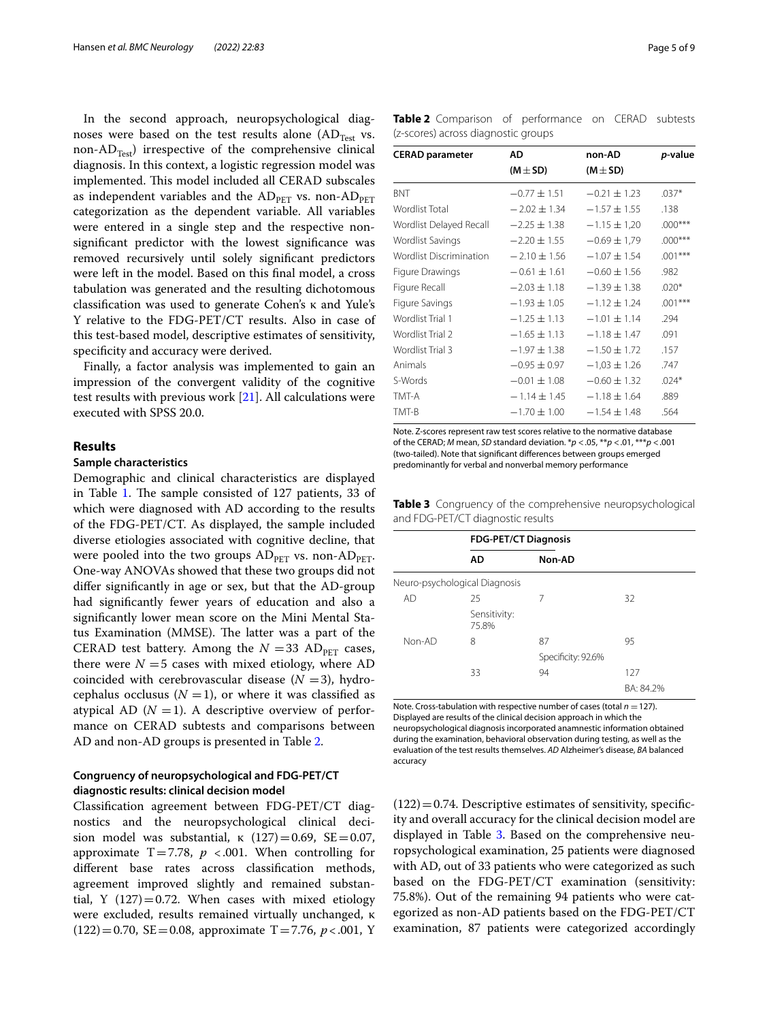In the second approach, neuropsychological diagnoses were based on the test results alone  $(AD_{Test}$  vs. non-AD<sub>Test</sub>) irrespective of the comprehensive clinical diagnosis. In this context, a logistic regression model was implemented. This model included all CERAD subscales as independent variables and the  $AD<sub>PET</sub>$  vs. non- $AD<sub>PET</sub>$ categorization as the dependent variable. All variables were entered in a single step and the respective nonsignifcant predictor with the lowest signifcance was removed recursively until solely signifcant predictors were left in the model. Based on this fnal model, a cross tabulation was generated and the resulting dichotomous classifcation was used to generate Cohen's κ and Yule's Y relative to the FDG-PET/CT results. Also in case of this test-based model, descriptive estimates of sensitivity, specifcity and accuracy were derived.

Finally, a factor analysis was implemented to gain an impression of the convergent validity of the cognitive test results with previous work [[21\]](#page-8-20). All calculations were executed with SPSS 20.0.

## **Results**

## **Sample characteristics**

Demographic and clinical characteristics are displayed in Table [1.](#page-3-0) The sample consisted of 127 patients, 33 of which were diagnosed with AD according to the results of the FDG-PET/CT. As displayed, the sample included diverse etiologies associated with cognitive decline, that were pooled into the two groups  $AD_{PET}$  vs. non- $AD_{PET}$ . One-way ANOVAs showed that these two groups did not difer signifcantly in age or sex, but that the AD-group had signifcantly fewer years of education and also a signifcantly lower mean score on the Mini Mental Status Examination (MMSE). The latter was a part of the CERAD test battery. Among the  $N = 33$  AD<sub>PFT</sub> cases, there were  $N = 5$  cases with mixed etiology, where AD coincided with cerebrovascular disease  $(N = 3)$ , hydrocephalus occlusus  $(N = 1)$ , or where it was classified as atypical AD  $(N = 1)$ . A descriptive overview of performance on CERAD subtests and comparisons between AD and non-AD groups is presented in Table [2](#page-4-0).

# **Congruency of neuropsychological and FDG-PET/CT diagnostic results: clinical decision model**

Classifcation agreement between FDG-PET/CT diagnostics and the neuropsychological clinical decision model was substantial,  $\kappa$  (127) = 0.69, SE = 0.07, approximate  $T=7.78$ ,  $p < .001$ . When controlling for diferent base rates across classifcation methods, agreement improved slightly and remained substantial, Y  $(127) = 0.72$ . When cases with mixed etiology were excluded, results remained virtually unchanged, κ  $(122)=0.70$ , SE = 0.08, approximate T = 7.76, *p* < 0.01, Y

<span id="page-4-0"></span>**Table 2** Comparison of performance on CERAD subtests (z-scores) across diagnostic groups

| <b>CERAD parameter</b>         | AD               | non-AD           | <i>p</i> -value |
|--------------------------------|------------------|------------------|-----------------|
|                                | $(M \pm SD)$     | $(M \pm SD)$     |                 |
| <b>BNT</b>                     | $-0.77 \pm 1.51$ | $-0.21 \pm 1.23$ | $.037*$         |
| Wordlist Total                 | $-2.02 \pm 1.34$ | $-1.57 \pm 1.55$ | .138            |
| Wordlist Delayed Recall        | $-2.25 \pm 1.38$ | $-1.15 \pm 1.20$ | $.000***$       |
| Wordlist Savings               | $-2.20 \pm 1.55$ | $-0.69 \pm 1.79$ | $.000***$       |
| <b>Wordlist Discrimination</b> | $-2.10 \pm 1.56$ | $-1.07 \pm 1.54$ | $.001***$       |
| Figure Drawings                | $-0.61 \pm 1.61$ | $-0.60 \pm 1.56$ | .982            |
| Figure Recall                  | $-2.03 \pm 1.18$ | $-1.39 \pm 1.38$ | $.020*$         |
| Figure Savings                 | $-1.93 \pm 1.05$ | $-1.12 \pm 1.24$ | $.001***$       |
| Wordlist Trial 1               | $-1.25 \pm 1.13$ | $-1.01 \pm 1.14$ | .294            |
| Wordlist Trial 2               | $-1.65 \pm 1.13$ | $-1.18 \pm 1.47$ | .091            |
| Wordlist Trial 3               | $-1.97 \pm 1.38$ | $-1.50 \pm 1.72$ | .157            |
| Animals                        | $-0.95 \pm 0.97$ | $-1,03 \pm 1.26$ | .747            |
| S-Words                        | $-0.01 \pm 1.08$ | $-0.60 \pm 1.32$ | $.024*$         |
| TMT-A                          | $-1.14 \pm 1.45$ | $-1.18 \pm 1.64$ | .889            |
| TMT-B                          | $-1.70 \pm 1.00$ | $-1.54 \pm 1.48$ | .564            |

Note. Z-scores represent raw test scores relative to the normative database of the CERAD; *M* mean, *SD* standard deviation. \**p* <.05, \*\**p* <.01, \*\*\**p* <.001 (two-tailed). Note that signifcant diferences between groups emerged predominantly for verbal and nonverbal memory performance

<span id="page-4-1"></span>**Table 3** Congruency of the comprehensive neuropsychological and FDG-PET/CT diagnostic results

|        |                               | <b>FDG-PET/CT Diagnosis</b> |           |  |  |
|--------|-------------------------------|-----------------------------|-----------|--|--|
|        | AD                            | Non-AD                      |           |  |  |
|        | Neuro-psychological Diagnosis |                             |           |  |  |
| AD     | 25                            | 7                           | 32        |  |  |
|        | Sensitivity:<br>75.8%         |                             |           |  |  |
| Non-AD | 8                             | 87                          | 95        |  |  |
|        |                               | Specificity: 92.6%          |           |  |  |
|        | 33                            | 94                          | 127       |  |  |
|        |                               |                             | BA: 84.2% |  |  |

Note. Cross-tabulation with respective number of cases (total  $n = 127$ ). Displayed are results of the clinical decision approach in which the neuropsychological diagnosis incorporated anamnestic information obtained during the examination, behavioral observation during testing, as well as the evaluation of the test results themselves. *AD* Alzheimer's disease, *BA* balanced accuracy

 $(122)=0.74$ . Descriptive estimates of sensitivity, specificity and overall accuracy for the clinical decision model are displayed in Table [3](#page-4-1). Based on the comprehensive neuropsychological examination, 25 patients were diagnosed with AD, out of 33 patients who were categorized as such based on the FDG-PET/CT examination (sensitivity: 75.8%). Out of the remaining 94 patients who were categorized as non-AD patients based on the FDG-PET/CT examination, 87 patients were categorized accordingly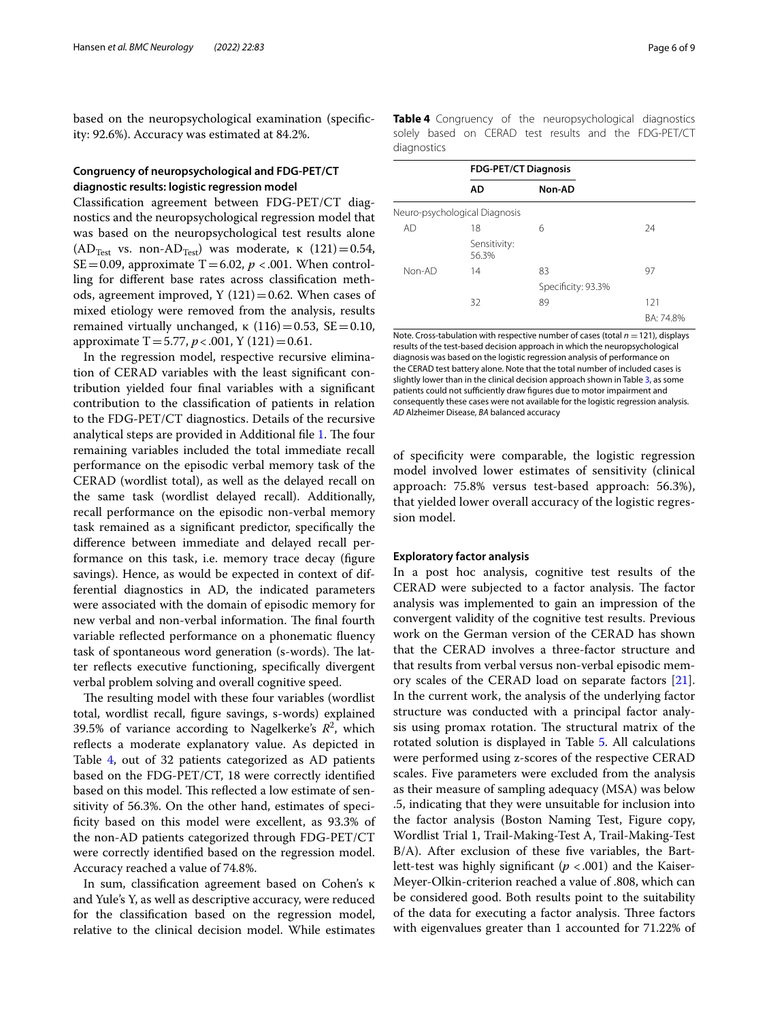based on the neuropsychological examination (specifcity: 92.6%). Accuracy was estimated at 84.2%.

# **Congruency of neuropsychological and FDG-PET/CT diagnostic results: logistic regression model**

Classifcation agreement between FDG-PET/CT diagnostics and the neuropsychological regression model that was based on the neuropsychological test results alone  $(AD<sub>Test</sub>$  vs. non-AD<sub>Test</sub>) was moderate, κ  $(121)=0.54$ , SE=0.09, approximate  $T=6.02$ ,  $p < .001$ . When controlling for diferent base rates across classifcation methods, agreement improved,  $Y(121)=0.62$ . When cases of mixed etiology were removed from the analysis, results remained virtually unchanged, κ  $(116)=0.53$ , SE = 0.10, approximate  $T = 5.77$ ,  $p < .001$ , Y (121) = 0.61.

In the regression model, respective recursive elimination of CERAD variables with the least signifcant contribution yielded four fnal variables with a signifcant contribution to the classifcation of patients in relation to the FDG-PET/CT diagnostics. Details of the recursive analytical steps are provided in Additional file [1](#page-7-0). The four remaining variables included the total immediate recall performance on the episodic verbal memory task of the CERAD (wordlist total), as well as the delayed recall on the same task (wordlist delayed recall). Additionally, recall performance on the episodic non-verbal memory task remained as a signifcant predictor, specifcally the diference between immediate and delayed recall performance on this task, i.e. memory trace decay (fgure savings). Hence, as would be expected in context of differential diagnostics in AD, the indicated parameters were associated with the domain of episodic memory for new verbal and non-verbal information. The final fourth variable refected performance on a phonematic fuency task of spontaneous word generation (s-words). The latter reflects executive functioning, specifically divergent verbal problem solving and overall cognitive speed.

The resulting model with these four variables (wordlist total, wordlist recall, fgure savings, s-words) explained 39.5% of variance according to Nagelkerke's  $R^2$ , which refects a moderate explanatory value. As depicted in Table [4](#page-5-0), out of 32 patients categorized as AD patients based on the FDG-PET/CT, 18 were correctly identifed based on this model. This reflected a low estimate of sensitivity of 56.3%. On the other hand, estimates of specificity based on this model were excellent, as 93.3% of the non-AD patients categorized through FDG-PET/CT were correctly identifed based on the regression model. Accuracy reached a value of 74.8%.

In sum, classifcation agreement based on Cohen's κ and Yule's Y, as well as descriptive accuracy, were reduced for the classifcation based on the regression model, relative to the clinical decision model. While estimates <span id="page-5-0"></span>**Table 4** Congruency of the neuropsychological diagnostics solely based on CERAD test results and the FDG-PET/CT diagnostics

|        | <b>FDG-PET/CT Diagnosis</b>   |                    |           |
|--------|-------------------------------|--------------------|-----------|
|        | AD                            | Non-AD             |           |
|        | Neuro-psychological Diagnosis |                    |           |
| AD     | 18                            | 6                  | 24        |
|        | Sensitivity:<br>56.3%         |                    |           |
| Non-AD | 14                            | 83                 | 97        |
|        |                               | Specificity: 93.3% |           |
|        | 32                            | 89                 | 121       |
|        |                               |                    | BA: 74.8% |

Note. Cross-tabulation with respective number of cases (total  $n = 121$ ), displays results of the test-based decision approach in which the neuropsychological diagnosis was based on the logistic regression analysis of performance on the CERAD test battery alone. Note that the total number of included cases is slightly lower than in the clinical decision approach shown in Table [3](#page-4-1), as some patients could not sufficiently draw figures due to motor impairment and consequently these cases were not available for the logistic regression analysis. *AD* Alzheimer Disease, *BA* balanced accuracy

of specifcity were comparable, the logistic regression model involved lower estimates of sensitivity (clinical approach: 75.8% versus test-based approach: 56.3%), that yielded lower overall accuracy of the logistic regression model.

## **Exploratory factor analysis**

In a post hoc analysis, cognitive test results of the CERAD were subjected to a factor analysis. The factor analysis was implemented to gain an impression of the convergent validity of the cognitive test results. Previous work on the German version of the CERAD has shown that the CERAD involves a three-factor structure and that results from verbal versus non-verbal episodic memory scales of the CERAD load on separate factors [\[21](#page-8-20)]. In the current work, the analysis of the underlying factor structure was conducted with a principal factor analysis using promax rotation. The structural matrix of the rotated solution is displayed in Table [5.](#page-6-0) All calculations were performed using z-scores of the respective CERAD scales. Five parameters were excluded from the analysis as their measure of sampling adequacy (MSA) was below .5, indicating that they were unsuitable for inclusion into the factor analysis (Boston Naming Test, Figure copy, Wordlist Trial 1, Trail-Making-Test A, Trail-Making-Test B/A). After exclusion of these fve variables, the Bartlett-test was highly signifcant (*p* <.001) and the Kaiser-Meyer-Olkin-criterion reached a value of .808, which can be considered good. Both results point to the suitability of the data for executing a factor analysis. Three factors with eigenvalues greater than 1 accounted for 71.22% of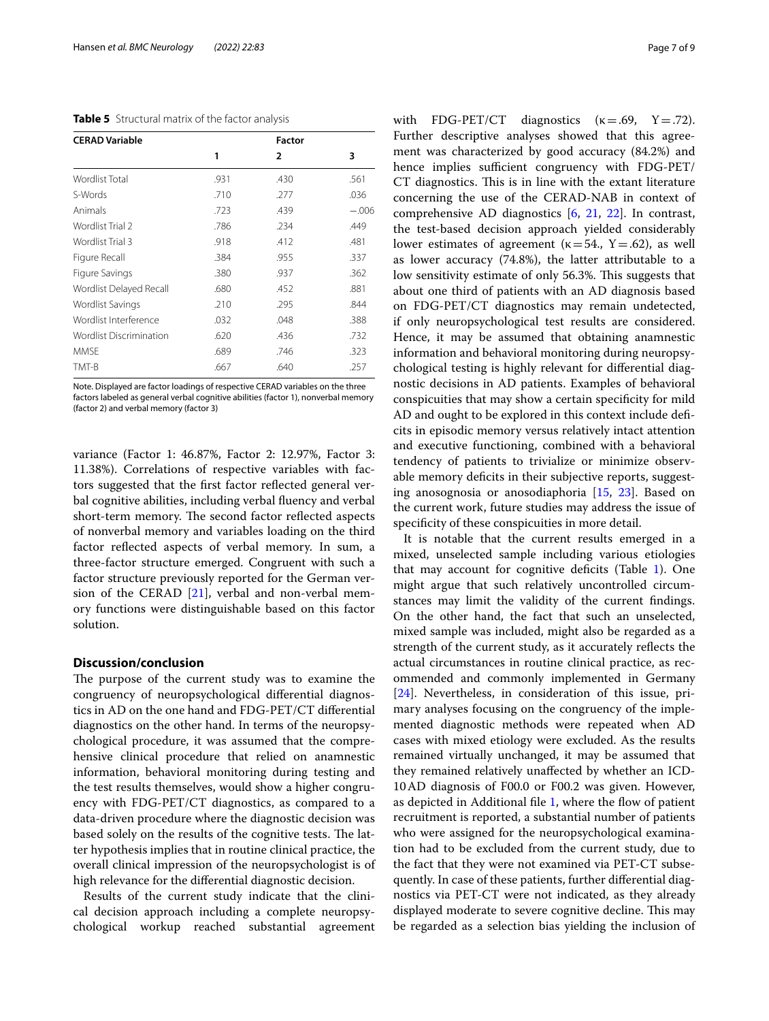<span id="page-6-0"></span>**Table 5** Structural matrix of the factor analysis

| <b>CERAD Variable</b>          |      | <b>Factor</b>  |         |
|--------------------------------|------|----------------|---------|
|                                | 1    | $\overline{2}$ | 3       |
| Wordlist Total                 | .931 | .430           | .561    |
| S-Words                        | .710 | .277           | .036    |
| Animals                        | .723 | .439           | $-.006$ |
| Wordlist Trial 2               | .786 | .234           | .449    |
| Wordlist Trial 3               | .918 | .412           | .481    |
| Figure Recall                  | .384 | .955           | .337    |
| Figure Savings                 | .380 | .937           | .362    |
| Wordlist Delayed Recall        | .680 | .452           | .881    |
| Wordlist Savings               | .210 | .295           | .844    |
| Wordlist Interference          | .032 | .048           | .388    |
| <b>Wordlist Discrimination</b> | .620 | .436           | .732    |
| <b>MMSF</b>                    | .689 | .746           | .323    |
| TMT-B                          | .667 | .640           | .257    |

Note. Displayed are factor loadings of respective CERAD variables on the three factors labeled as general verbal cognitive abilities (factor 1), nonverbal memory (factor 2) and verbal memory (factor 3)

variance (Factor 1: 46.87%, Factor 2: 12.97%, Factor 3: 11.38%). Correlations of respective variables with factors suggested that the frst factor refected general verbal cognitive abilities, including verbal fuency and verbal short-term memory. The second factor reflected aspects of nonverbal memory and variables loading on the third factor refected aspects of verbal memory. In sum, a three-factor structure emerged. Congruent with such a factor structure previously reported for the German version of the CERAD [[21](#page-8-20)], verbal and non-verbal memory functions were distinguishable based on this factor solution.

# **Discussion/conclusion**

The purpose of the current study was to examine the congruency of neuropsychological diferential diagnostics in AD on the one hand and FDG-PET/CT diferential diagnostics on the other hand. In terms of the neuropsychological procedure, it was assumed that the comprehensive clinical procedure that relied on anamnestic information, behavioral monitoring during testing and the test results themselves, would show a higher congruency with FDG-PET/CT diagnostics, as compared to a data-driven procedure where the diagnostic decision was based solely on the results of the cognitive tests. The latter hypothesis implies that in routine clinical practice, the overall clinical impression of the neuropsychologist is of high relevance for the diferential diagnostic decision.

Results of the current study indicate that the clinical decision approach including a complete neuropsychological workup reached substantial agreement with FDG-PET/CT diagnostics  $(k=.69, Y=.72)$ . Further descriptive analyses showed that this agreement was characterized by good accuracy (84.2%) and hence implies sufficient congruency with FDG-PET/ CT diagnostics. This is in line with the extant literature concerning the use of the CERAD-NAB in context of comprehensive AD diagnostics [\[6](#page-8-4), [21,](#page-8-20) [22](#page-8-21)]. In contrast, the test-based decision approach yielded considerably lower estimates of agreement ( $\kappa$ =54., Y=.62), as well as lower accuracy (74.8%), the latter attributable to a low sensitivity estimate of only 56.3%. This suggests that about one third of patients with an AD diagnosis based on FDG-PET/CT diagnostics may remain undetected, if only neuropsychological test results are considered. Hence, it may be assumed that obtaining anamnestic information and behavioral monitoring during neuropsychological testing is highly relevant for diferential diagnostic decisions in AD patients. Examples of behavioral conspicuities that may show a certain specifcity for mild AD and ought to be explored in this context include defcits in episodic memory versus relatively intact attention and executive functioning, combined with a behavioral tendency of patients to trivialize or minimize observable memory deficits in their subjective reports, suggesting anosognosia or anosodiaphoria [\[15](#page-8-14), [23\]](#page-8-22). Based on the current work, future studies may address the issue of specifcity of these conspicuities in more detail.

It is notable that the current results emerged in a mixed, unselected sample including various etiologies that may account for cognitive deficits (Table  $1$ ). One might argue that such relatively uncontrolled circumstances may limit the validity of the current fndings. On the other hand, the fact that such an unselected, mixed sample was included, might also be regarded as a strength of the current study, as it accurately refects the actual circumstances in routine clinical practice, as recommended and commonly implemented in Germany [[24\]](#page-8-23). Nevertheless, in consideration of this issue, primary analyses focusing on the congruency of the implemented diagnostic methods were repeated when AD cases with mixed etiology were excluded. As the results remained virtually unchanged, it may be assumed that they remained relatively unafected by whether an ICD-10AD diagnosis of F00.0 or F00.2 was given. However, as depicted in Additional fle [1,](#page-7-0) where the fow of patient recruitment is reported, a substantial number of patients who were assigned for the neuropsychological examination had to be excluded from the current study, due to the fact that they were not examined via PET-CT subsequently. In case of these patients, further diferential diagnostics via PET-CT were not indicated, as they already displayed moderate to severe cognitive decline. This may be regarded as a selection bias yielding the inclusion of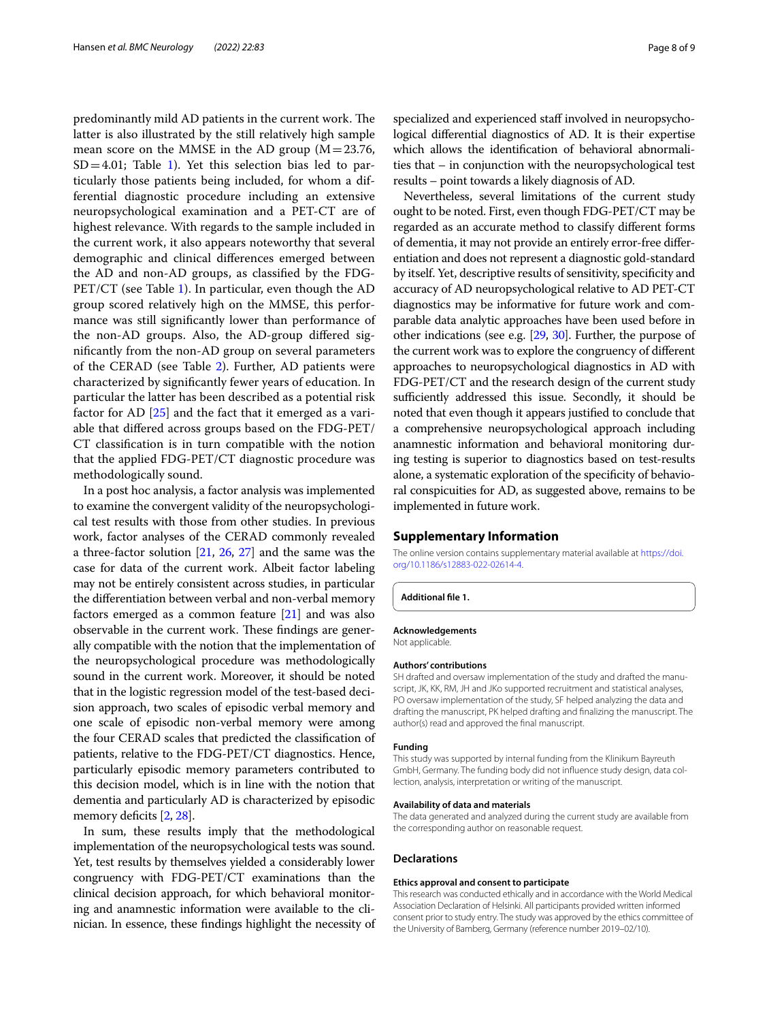predominantly mild AD patients in the current work. The latter is also illustrated by the still relatively high sample mean score on the MMSE in the AD group  $(M=23.76,$  $SD=4.01$ ; Table [1\)](#page-3-0). Yet this selection bias led to particularly those patients being included, for whom a differential diagnostic procedure including an extensive neuropsychological examination and a PET-CT are of highest relevance. With regards to the sample included in the current work, it also appears noteworthy that several demographic and clinical diferences emerged between the AD and non-AD groups, as classifed by the FDG-PET/CT (see Table [1\)](#page-3-0). In particular, even though the AD group scored relatively high on the MMSE, this performance was still signifcantly lower than performance of the non-AD groups. Also, the AD-group difered signifcantly from the non-AD group on several parameters of the CERAD (see Table [2](#page-4-0)). Further, AD patients were characterized by signifcantly fewer years of education. In particular the latter has been described as a potential risk factor for AD [[25](#page-8-24)] and the fact that it emerged as a variable that difered across groups based on the FDG-PET/ CT classifcation is in turn compatible with the notion that the applied FDG-PET/CT diagnostic procedure was methodologically sound.

In a post hoc analysis, a factor analysis was implemented to examine the convergent validity of the neuropsychological test results with those from other studies. In previous work, factor analyses of the CERAD commonly revealed a three-factor solution [[21](#page-8-20), [26](#page-8-25), [27\]](#page-8-26) and the same was the case for data of the current work. Albeit factor labeling may not be entirely consistent across studies, in particular the diferentiation between verbal and non-verbal memory factors emerged as a common feature  $[21]$  $[21]$  $[21]$  and was also observable in the current work. These findings are generally compatible with the notion that the implementation of the neuropsychological procedure was methodologically sound in the current work. Moreover, it should be noted that in the logistic regression model of the test-based decision approach, two scales of episodic verbal memory and one scale of episodic non-verbal memory were among the four CERAD scales that predicted the classifcation of patients, relative to the FDG-PET/CT diagnostics. Hence, particularly episodic memory parameters contributed to this decision model, which is in line with the notion that dementia and particularly AD is characterized by episodic memory deficits  $[2, 28]$  $[2, 28]$ .

In sum, these results imply that the methodological implementation of the neuropsychological tests was sound. Yet, test results by themselves yielded a considerably lower congruency with FDG-PET/CT examinations than the clinical decision approach, for which behavioral monitoring and anamnestic information were available to the clinician. In essence, these fndings highlight the necessity of

specialized and experienced staff involved in neuropsychological diferential diagnostics of AD. It is their expertise which allows the identifcation of behavioral abnormalities that – in conjunction with the neuropsychological test results – point towards a likely diagnosis of AD.

Nevertheless, several limitations of the current study ought to be noted. First, even though FDG-PET/CT may be regarded as an accurate method to classify diferent forms of dementia, it may not provide an entirely error-free diferentiation and does not represent a diagnostic gold-standard by itself. Yet, descriptive results of sensitivity, specifcity and accuracy of AD neuropsychological relative to AD PET-CT diagnostics may be informative for future work and comparable data analytic approaches have been used before in other indications (see e.g. [\[29,](#page-8-28) [30](#page-8-29)]. Further, the purpose of the current work was to explore the congruency of diferent approaches to neuropsychological diagnostics in AD with FDG-PET/CT and the research design of the current study sufficiently addressed this issue. Secondly, it should be noted that even though it appears justifed to conclude that a comprehensive neuropsychological approach including anamnestic information and behavioral monitoring during testing is superior to diagnostics based on test-results alone, a systematic exploration of the specifcity of behavioral conspicuities for AD, as suggested above, remains to be implemented in future work.

### **Supplementary Information**

The online version contains supplementary material available at [https://doi.](https://doi.org/10.1186/s12883-022-02614-4) [org/10.1186/s12883-022-02614-4](https://doi.org/10.1186/s12883-022-02614-4).

<span id="page-7-0"></span>**Additional fle 1.**

#### **Acknowledgements**

Not applicable.

#### **Authors' contributions**

SH drafted and oversaw implementation of the study and drafted the manuscript, JK, KK, RM, JH and JKo supported recruitment and statistical analyses, PO oversaw implementation of the study, SF helped analyzing the data and drafting the manuscript, PK helped drafting and fnalizing the manuscript. The author(s) read and approved the fnal manuscript.

#### **Funding**

This study was supported by internal funding from the Klinikum Bayreuth GmbH, Germany. The funding body did not infuence study design, data collection, analysis, interpretation or writing of the manuscript.

#### **Availability of data and materials**

The data generated and analyzed during the current study are available from the corresponding author on reasonable request.

#### **Declarations**

#### **Ethics approval and consent to participate**

This research was conducted ethically and in accordance with the World Medical Association Declaration of Helsinki. All participants provided written informed consent prior to study entry. The study was approved by the ethics committee of the University of Bamberg, Germany (reference number 2019–02/10).